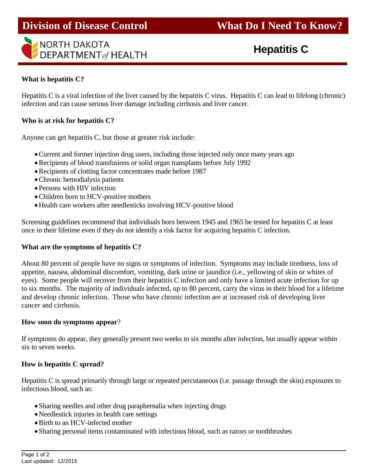



**Hepatitis C**

## **What is hepatitis C?**

Hepatitis C is a viral infection of the liver caused by the hepatitis C virus. Hepatitis C can lead to lifelong (chronic) infection and can cause serious liver damage including cirrhosis and liver cancer.

l

## **Who is at risk for hepatitis C?**

Anyone can get hepatitis C, but those at greater risk include:

- Current and former injection drug users, including those injected only once many years ago
- Recipients of blood transfusions or solid organ transplants before July 1992
- Recipients of clotting factor concentrates made before 1987
- Chronic hemodialysis patients
- Persons with HIV infection
- Children born to HCV-positive mothers
- Health care workers after needlesticks involving HCV-positive blood

Screening guidelines recommend that individuals born between 1945 and 1965 be tested for hepatitis C at least once in their lifetime even if they do not identify a risk factor for acquiring hepatitis C infection.

#### **What are the symptoms of hepatitis C?**

About 80 percent of people have no signs or symptoms of infection. Symptoms may include tiredness, loss of appetite, nausea, abdominal discomfort, vomiting, dark urine or jaundice (i.e., yellowing of skin or whites of eyes). Some people will recover from their hepatitis C infection and only have a limited acute infection for up to six months. The majority of individuals infected, up to 80 percent, carry the virus in their blood for a lifetime and develop chronic infection. Those who have chronic infection are at increased risk of developing liver cancer and cirrhosis.

#### **How soon do symptoms appear**?

If symptoms do appear, they generally present two weeks to six months after infection, but usually appear within six to seven weeks.

#### **How is hepatitis C spread?**

Hepatitis C is spread primarily through large or repeated percutaneous (i.e. passage through the skin) exposures to infectious blood, such as:

- Sharing needles and other drug paraphernalia when injecting drugs
- Needlestick injuries in health care settings
- Birth to an HCV-infected mother
- Sharing personal items contaminated with infectious blood, such as razors or toothbrushes